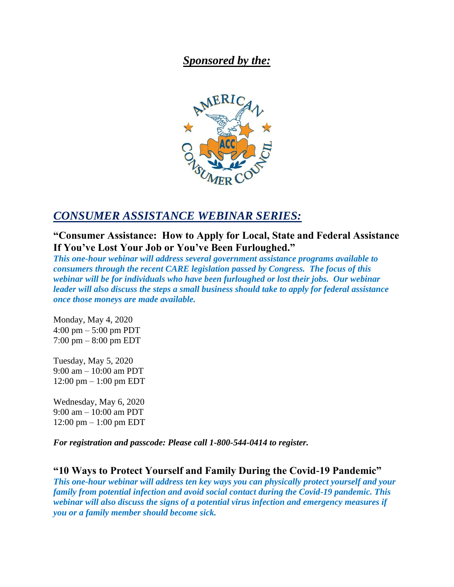## *Sponsored by the:*



## *CONSUMER ASSISTANCE WEBINAR SERIES:*

**"Consumer Assistance: How to Apply for Local, State and Federal Assistance If You've Lost Your Job or You've Been Furloughed."**

*This one-hour webinar will address several government assistance programs available to consumers through the recent CARE legislation passed by Congress. The focus of this webinar will be for individuals who have been furloughed or lost their jobs. Our webinar leader will also discuss the steps a small business should take to apply for federal assistance once those moneys are made available.*

Monday, May 4, 2020 4:00 pm – 5:00 pm PDT 7:00 pm – 8:00 pm EDT

Tuesday, May 5, 2020 9:00 am – 10:00 am PDT 12:00 pm – 1:00 pm EDT

Wednesday, May 6, 2020 9:00 am – 10:00 am PDT 12:00 pm – 1:00 pm EDT

*For registration and passcode: Please call 1-800-544-0414 to register.*

**"10 Ways to Protect Yourself and Family During the Covid-19 Pandemic"** *This one-hour webinar will address ten key ways you can physically protect yourself and your family from potential infection and avoid social contact during the Covid-19 pandemic. This webinar will also discuss the signs of a potential virus infection and emergency measures if you or a family member should become sick.*